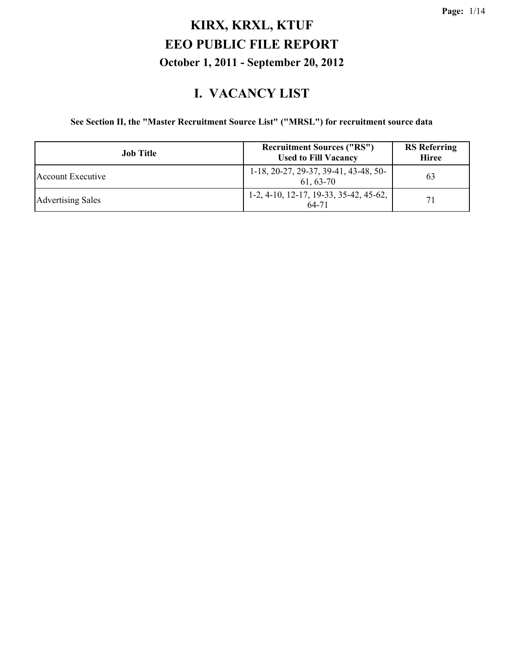#### **I. VACANCY LIST**

#### **See Section II, the "Master Recruitment Source List" ("MRSL") for recruitment source data**

| <b>Job</b> Title         | <b>Recruitment Sources ("RS")</b><br><b>Used to Fill Vacancy</b> | <b>RS</b> Referring<br><b>Hiree</b> |
|--------------------------|------------------------------------------------------------------|-------------------------------------|
| Account Executive        | 1-18, 20-27, 29-37, 39-41, 43-48, 50-<br>61.63-70                | 63                                  |
| <b>Advertising Sales</b> | $1-2, 4-10, 12-17, 19-33, 35-42, 45-62,$<br>64-71                | 71                                  |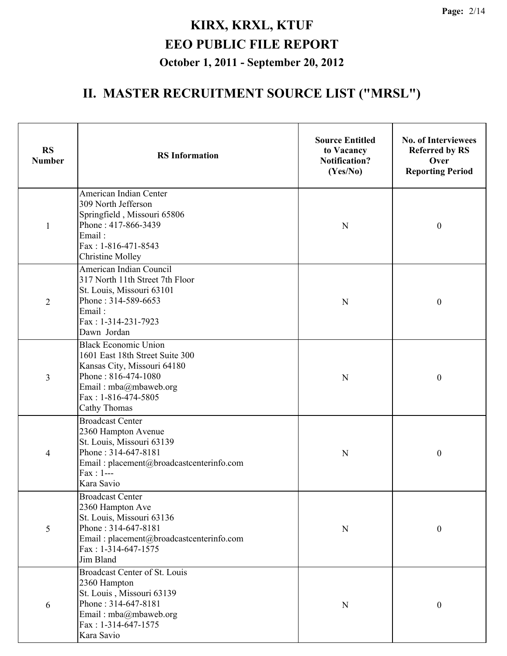| <b>RS</b><br><b>Number</b> | <b>RS</b> Information                                                                                                                                                                       | <b>Source Entitled</b><br>to Vacancy<br><b>Notification?</b><br>(Yes/No) | <b>No. of Interviewees</b><br><b>Referred by RS</b><br>Over<br><b>Reporting Period</b> |
|----------------------------|---------------------------------------------------------------------------------------------------------------------------------------------------------------------------------------------|--------------------------------------------------------------------------|----------------------------------------------------------------------------------------|
| $\mathbf{1}$               | American Indian Center<br>309 North Jefferson<br>Springfield, Missouri 65806<br>Phone: 417-866-3439<br>Email:<br>Fax: 1-816-471-8543<br><b>Christine Molley</b>                             | N                                                                        | $\boldsymbol{0}$                                                                       |
| $\overline{2}$             | American Indian Council<br>317 North 11th Street 7th Floor<br>St. Louis, Missouri 63101<br>Phone: 314-589-6653<br>Email:<br>Fax: 1-314-231-7923<br>Dawn Jordan                              | $\mathbf N$                                                              | $\boldsymbol{0}$                                                                       |
| $\overline{3}$             | <b>Black Economic Union</b><br>1601 East 18th Street Suite 300<br>Kansas City, Missouri 64180<br>Phone: 816-474-1080<br>Email: mba@mbaweb.org<br>Fax: 1-816-474-5805<br><b>Cathy Thomas</b> | N                                                                        | $\boldsymbol{0}$                                                                       |
| $\overline{4}$             | <b>Broadcast Center</b><br>2360 Hampton Avenue<br>St. Louis, Missouri 63139<br>Phone: 314-647-8181<br>Email: placement@broadcastcenterinfo.com<br>$Fax : 1--$<br>Kara Savio                 | $\mathbf N$                                                              | $\boldsymbol{0}$                                                                       |
| 5                          | <b>Broadcast Center</b><br>2360 Hampton Ave<br>St. Louis, Missouri 63136<br>Phone: 314-647-8181<br>Email: placement@broadcastcenterinfo.com<br>Fax: 1-314-647-1575<br>Jim Bland             | ${\bf N}$                                                                | $\boldsymbol{0}$                                                                       |
| 6                          | Broadcast Center of St. Louis<br>2360 Hampton<br>St. Louis, Missouri 63139<br>Phone: 314-647-8181<br>Email: mba@mbaweb.org<br>Fax: 1-314-647-1575<br>Kara Savio                             | ${\bf N}$                                                                | $\boldsymbol{0}$                                                                       |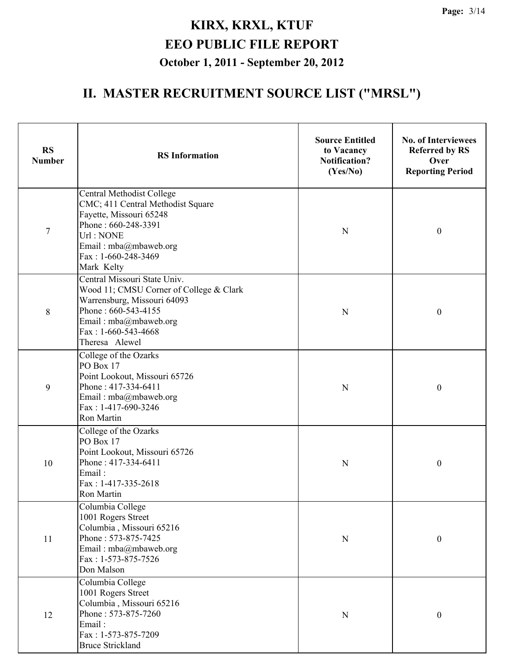| <b>RS</b><br><b>Number</b> | <b>RS</b> Information                                                                                                                                                                              | <b>Source Entitled</b><br>to Vacancy<br><b>Notification?</b><br>(Yes/No) | <b>No. of Interviewees</b><br><b>Referred by RS</b><br>Over<br><b>Reporting Period</b> |
|----------------------------|----------------------------------------------------------------------------------------------------------------------------------------------------------------------------------------------------|--------------------------------------------------------------------------|----------------------------------------------------------------------------------------|
| $\overline{7}$             | <b>Central Methodist College</b><br>CMC; 411 Central Methodist Square<br>Fayette, Missouri 65248<br>Phone: 660-248-3391<br>Url: NONE<br>Email: mba@mbaweb.org<br>Fax: 1-660-248-3469<br>Mark Kelty | $\mathbf N$                                                              | $\boldsymbol{0}$                                                                       |
| 8                          | Central Missouri State Univ.<br>Wood 11; CMSU Corner of College & Clark<br>Warrensburg, Missouri 64093<br>Phone: 660-543-4155<br>Email: mba@mbaweb.org<br>Fax: $1-660-543-4668$<br>Theresa Alewel  | $\mathbf N$                                                              | $\boldsymbol{0}$                                                                       |
| 9                          | College of the Ozarks<br>PO Box 17<br>Point Lookout, Missouri 65726<br>Phone: 417-334-6411<br>Email: mba@mbaweb.org<br>Fax: 1-417-690-3246<br>Ron Martin                                           | N                                                                        | $\boldsymbol{0}$                                                                       |
| 10                         | College of the Ozarks<br>PO Box 17<br>Point Lookout, Missouri 65726<br>Phone: 417-334-6411<br>Email:<br>Fax: 1-417-335-2618<br>Ron Martin                                                          | N                                                                        | $\boldsymbol{0}$                                                                       |
| 11                         | Columbia College<br>1001 Rogers Street<br>Columbia, Missouri 65216<br>Phone: 573-875-7425<br>Email: mba@mbaweb.org<br>Fax: 1-573-875-7526<br>Don Malson                                            | ${\bf N}$                                                                | $\boldsymbol{0}$                                                                       |
| 12                         | Columbia College<br>1001 Rogers Street<br>Columbia, Missouri 65216<br>Phone: 573-875-7260<br>Email:<br>Fax: 1-573-875-7209<br><b>Bruce Strickland</b>                                              | ${\bf N}$                                                                | $\boldsymbol{0}$                                                                       |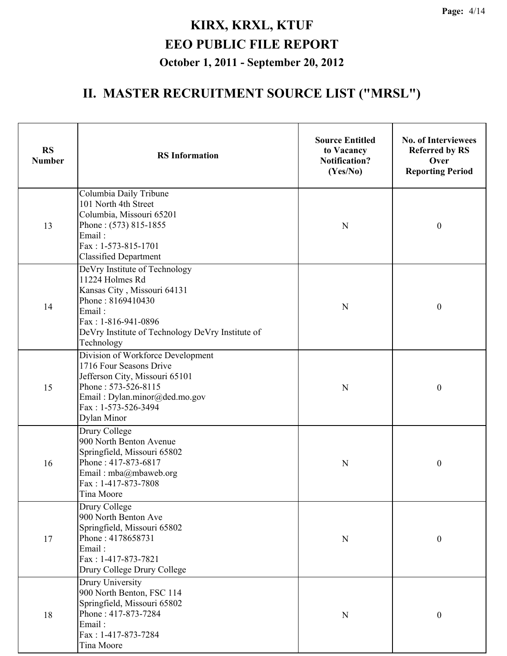| <b>RS</b><br><b>Number</b> | <b>RS</b> Information                                                                                                                                                                                   | <b>Source Entitled</b><br>to Vacancy<br><b>Notification?</b><br>(Yes/No) | <b>No. of Interviewees</b><br><b>Referred by RS</b><br>Over<br><b>Reporting Period</b> |
|----------------------------|---------------------------------------------------------------------------------------------------------------------------------------------------------------------------------------------------------|--------------------------------------------------------------------------|----------------------------------------------------------------------------------------|
| 13                         | Columbia Daily Tribune<br>101 North 4th Street<br>Columbia, Missouri 65201<br>Phone: (573) 815-1855<br>Email:<br>Fax: 1-573-815-1701<br><b>Classified Department</b>                                    | N                                                                        | $\boldsymbol{0}$                                                                       |
| 14                         | DeVry Institute of Technology<br>11224 Holmes Rd<br>Kansas City, Missouri 64131<br>Phone: 8169410430<br>Email:<br>Fax: 1-816-941-0896<br>DeVry Institute of Technology DeVry Institute of<br>Technology | N                                                                        | $\boldsymbol{0}$                                                                       |
| 15                         | Division of Workforce Development<br>1716 Four Seasons Drive<br>Jefferson City, Missouri 65101<br>Phone: 573-526-8115<br>Email: Dylan.minor@ded.mo.gov<br>Fax: 1-573-526-3494<br>Dylan Minor            | N                                                                        | $\boldsymbol{0}$                                                                       |
| 16                         | Drury College<br>900 North Benton Avenue<br>Springfield, Missouri 65802<br>Phone: 417-873-6817<br>Email: mba@mbaweb.org<br>Fax: 1-417-873-7808<br>Tina Moore                                            | N                                                                        | $\boldsymbol{0}$                                                                       |
| 17                         | Drury College<br>900 North Benton Ave<br>Springfield, Missouri 65802<br>Phone: 4178658731<br>Email:<br>Fax: 1-417-873-7821<br>Drury College Drury College                                               | $\mathbf N$                                                              | $\boldsymbol{0}$                                                                       |
| 18                         | <b>Drury University</b><br>900 North Benton, FSC 114<br>Springfield, Missouri 65802<br>Phone: 417-873-7284<br>Email:<br>Fax: 1-417-873-7284<br>Tina Moore                                               | N                                                                        | $\boldsymbol{0}$                                                                       |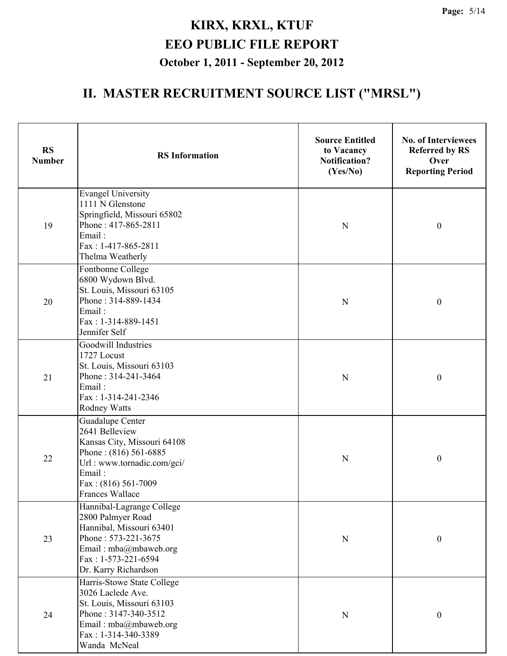| <b>RS</b><br><b>Number</b> | <b>RS</b> Information                                                                                                                                                         | <b>Source Entitled</b><br>to Vacancy<br><b>Notification?</b><br>(Yes/No) | <b>No. of Interviewees</b><br><b>Referred by RS</b><br>Over<br><b>Reporting Period</b> |
|----------------------------|-------------------------------------------------------------------------------------------------------------------------------------------------------------------------------|--------------------------------------------------------------------------|----------------------------------------------------------------------------------------|
| 19                         | <b>Evangel University</b><br>1111 N Glenstone<br>Springfield, Missouri 65802<br>Phone: 417-865-2811<br>Email:<br>Fax: 1-417-865-2811<br>Thelma Weatherly                      | ${\bf N}$                                                                | $\boldsymbol{0}$                                                                       |
| 20                         | Fontbonne College<br>6800 Wydown Blvd.<br>St. Louis, Missouri 63105<br>Phone: 314-889-1434<br>Email:<br>Fax: 1-314-889-1451<br>Jennifer Self                                  | ${\bf N}$                                                                | $\boldsymbol{0}$                                                                       |
| 21                         | Goodwill Industries<br>1727 Locust<br>St. Louis, Missouri 63103<br>Phone: 314-241-3464<br>Email:<br>Fax: 1-314-241-2346<br><b>Rodney Watts</b>                                | $\mathbf N$                                                              | $\boldsymbol{0}$                                                                       |
| 22                         | Guadalupe Center<br>2641 Belleview<br>Kansas City, Missouri 64108<br>Phone: (816) 561-6885<br>Url : www.tornadic.com/gci/<br>Email:<br>Fax: (816) 561-7009<br>Frances Wallace | ${\bf N}$                                                                | $\boldsymbol{0}$                                                                       |
| 23                         | Hannibal-Lagrange College<br>2800 Palmyer Road<br>Hannibal, Missouri 63401<br>Phone: 573-221-3675<br>Email: mba@mbaweb.org<br>Fax: 1-573-221-6594<br>Dr. Karry Richardson     | ${\bf N}$                                                                | $\boldsymbol{0}$                                                                       |
| 24                         | Harris-Stowe State College<br>3026 Laclede Ave.<br>St. Louis, Missouri 63103<br>Phone: 3147-340-3512<br>Email: mba@mbaweb.org<br>Fax: 1-314-340-3389<br>Wanda McNeal          | ${\bf N}$                                                                | $\boldsymbol{0}$                                                                       |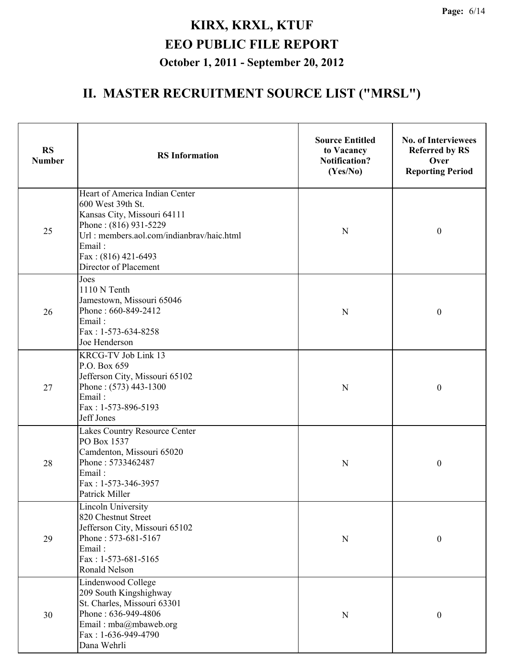| <b>RS</b><br><b>Number</b> | <b>RS</b> Information                                                                                                                                                                                              | <b>Source Entitled</b><br>to Vacancy<br><b>Notification?</b><br>(Yes/No) | <b>No. of Interviewees</b><br><b>Referred by RS</b><br>Over<br><b>Reporting Period</b> |
|----------------------------|--------------------------------------------------------------------------------------------------------------------------------------------------------------------------------------------------------------------|--------------------------------------------------------------------------|----------------------------------------------------------------------------------------|
| 25                         | Heart of America Indian Center<br>600 West 39th St.<br>Kansas City, Missouri 64111<br>Phone: (816) 931-5229<br>Url: members.aol.com/indianbrav/haic.html<br>Email:<br>Fax: (816) 421-6493<br>Director of Placement | $\mathbf N$                                                              | $\boldsymbol{0}$                                                                       |
| 26                         | Joes<br>1110 N Tenth<br>Jamestown, Missouri 65046<br>Phone: 660-849-2412<br>Email:<br>Fax: 1-573-634-8258<br>Joe Henderson                                                                                         | ${\bf N}$                                                                | $\boldsymbol{0}$                                                                       |
| 27                         | KRCG-TV Job Link 13<br>P.O. Box 659<br>Jefferson City, Missouri 65102<br>Phone: (573) 443-1300<br>Email:<br>Fax: 1-573-896-5193<br>Jeff Jones                                                                      | N                                                                        | $\boldsymbol{0}$                                                                       |
| 28                         | Lakes Country Resource Center<br>PO Box 1537<br>Camdenton, Missouri 65020<br>Phone: 5733462487<br>Email:<br>Fax: 1-573-346-3957<br>Patrick Miller                                                                  | $\mathbf N$                                                              | $\boldsymbol{0}$                                                                       |
| 29                         | <b>Lincoln University</b><br>820 Chestnut Street<br>Jefferson City, Missouri 65102<br>Phone: 573-681-5167<br>Email:<br>Fax: 1-573-681-5165<br>Ronald Nelson                                                        | ${\bf N}$                                                                | $\boldsymbol{0}$                                                                       |
| 30                         | Lindenwood College<br>209 South Kingshighway<br>St. Charles, Missouri 63301<br>Phone: 636-949-4806<br>Email: mba@mbaweb.org<br>Fax: 1-636-949-4790<br>Dana Wehrli                                                  | ${\bf N}$                                                                | $\boldsymbol{0}$                                                                       |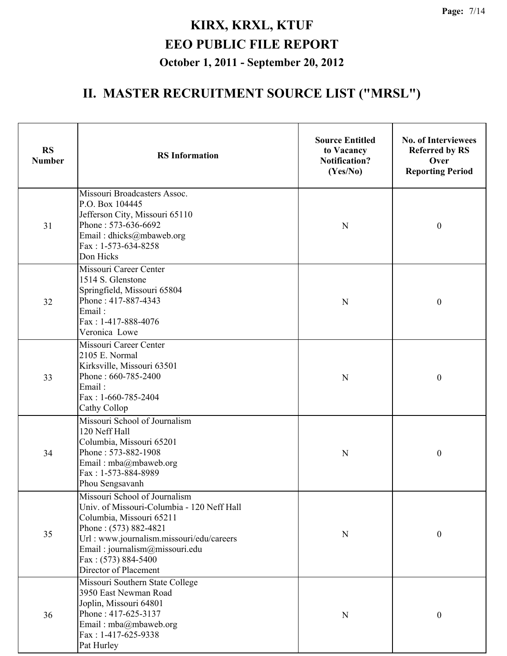| <b>RS</b><br><b>Number</b> | <b>RS</b> Information                                                                                                                                                                                                                                          | <b>Source Entitled</b><br>to Vacancy<br><b>Notification?</b><br>(Yes/No) | <b>No. of Interviewees</b><br><b>Referred by RS</b><br>Over<br><b>Reporting Period</b> |
|----------------------------|----------------------------------------------------------------------------------------------------------------------------------------------------------------------------------------------------------------------------------------------------------------|--------------------------------------------------------------------------|----------------------------------------------------------------------------------------|
| 31                         | Missouri Broadcasters Assoc.<br>P.O. Box 104445<br>Jefferson City, Missouri 65110<br>Phone: 573-636-6692<br>Email: dhicks@mbaweb.org<br>Fax: 1-573-634-8258<br>Don Hicks                                                                                       | $\mathbf N$                                                              | $\boldsymbol{0}$                                                                       |
| 32                         | Missouri Career Center<br>1514 S. Glenstone<br>Springfield, Missouri 65804<br>Phone: 417-887-4343<br>Email:<br>Fax: 1-417-888-4076<br>Veronica Lowe                                                                                                            | $\mathbf N$                                                              | $\boldsymbol{0}$                                                                       |
| 33                         | Missouri Career Center<br>2105 E. Normal<br>Kirksville, Missouri 63501<br>Phone: 660-785-2400<br>Email:<br>Fax: 1-660-785-2404<br>Cathy Collop                                                                                                                 | N                                                                        | $\boldsymbol{0}$                                                                       |
| 34                         | Missouri School of Journalism<br>120 Neff Hall<br>Columbia, Missouri 65201<br>Phone: 573-882-1908<br>Email: mba@mbaweb.org<br>Fax: 1-573-884-8989<br>Phou Sengsavanh                                                                                           | $\mathbf N$                                                              | $\boldsymbol{0}$                                                                       |
| 35                         | Missouri School of Journalism<br>Univ. of Missouri-Columbia - 120 Neff Hall<br>Columbia, Missouri 65211<br>Phone: (573) 882-4821<br>Url: www.journalism.missouri/edu/careers<br>Email: journalism@missouri.edu<br>Fax: (573) 884-5400<br>Director of Placement | ${\bf N}$                                                                | $\boldsymbol{0}$                                                                       |
| 36                         | Missouri Southern State College<br>3950 East Newman Road<br>Joplin, Missouri 64801<br>Phone: 417-625-3137<br>Email: mba@mbaweb.org<br>Fax: 1-417-625-9338<br>Pat Hurley                                                                                        | $\mathbf N$                                                              | $\boldsymbol{0}$                                                                       |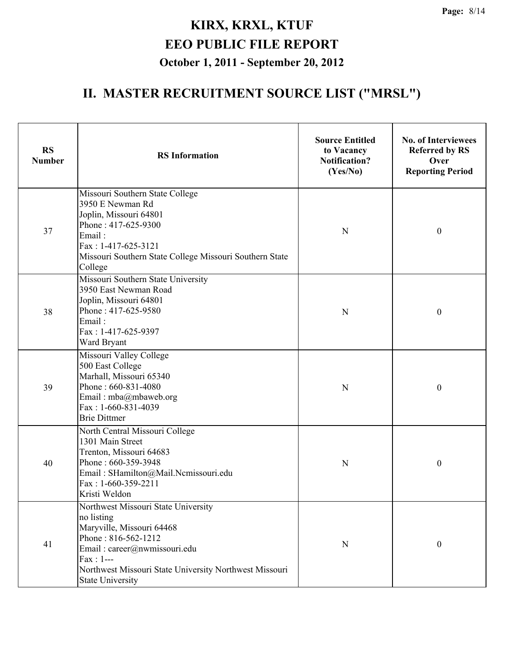| <b>RS</b><br><b>Number</b> | <b>RS</b> Information                                                                                                                                                                                                                    | <b>Source Entitled</b><br>to Vacancy<br><b>Notification?</b><br>(Yes/No) | <b>No. of Interviewees</b><br><b>Referred by RS</b><br>Over<br><b>Reporting Period</b> |
|----------------------------|------------------------------------------------------------------------------------------------------------------------------------------------------------------------------------------------------------------------------------------|--------------------------------------------------------------------------|----------------------------------------------------------------------------------------|
| 37                         | Missouri Southern State College<br>3950 E Newman Rd<br>Joplin, Missouri 64801<br>Phone: 417-625-9300<br>Email:<br>Fax: 1-417-625-3121<br>Missouri Southern State College Missouri Southern State<br>College                              | N                                                                        | $\boldsymbol{0}$                                                                       |
| 38                         | Missouri Southern State University<br>3950 East Newman Road<br>Joplin, Missouri 64801<br>Phone: 417-625-9580<br>Email:<br>Fax: 1-417-625-9397<br>Ward Bryant                                                                             | N                                                                        | $\boldsymbol{0}$                                                                       |
| 39                         | Missouri Valley College<br>500 East College<br>Marhall, Missouri 65340<br>Phone: 660-831-4080<br>Email: mba@mbaweb.org<br>Fax: 1-660-831-4039<br><b>Brie Dittmer</b>                                                                     | N                                                                        | $\boldsymbol{0}$                                                                       |
| 40                         | North Central Missouri College<br>1301 Main Street<br>Trenton, Missouri 64683<br>Phone: 660-359-3948<br>Email: SHamilton@Mail.Ncmissouri.edu<br>Fax: 1-660-359-2211<br>Kristi Weldon                                                     | N                                                                        | $\boldsymbol{0}$                                                                       |
| 41                         | Northwest Missouri State University<br>no listing<br>Maryville, Missouri 64468<br>Phone: 816-562-1212<br>Email: career@nwmissouri.edu<br>$Fax: 1--$<br>Northwest Missouri State University Northwest Missouri<br><b>State University</b> | N                                                                        | $\boldsymbol{0}$                                                                       |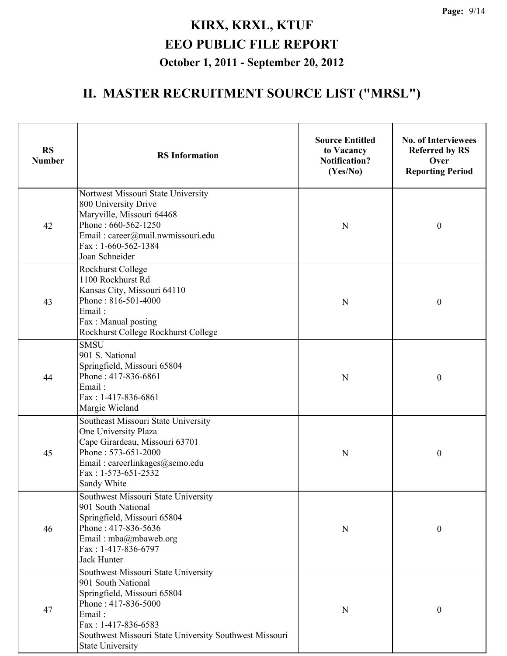| <b>RS</b><br><b>Number</b> | <b>RS</b> Information                                                                                                                                                                                                                 | <b>Source Entitled</b><br>to Vacancy<br><b>Notification?</b><br>(Yes/No) | <b>No. of Interviewees</b><br><b>Referred by RS</b><br>Over<br><b>Reporting Period</b> |
|----------------------------|---------------------------------------------------------------------------------------------------------------------------------------------------------------------------------------------------------------------------------------|--------------------------------------------------------------------------|----------------------------------------------------------------------------------------|
| 42                         | Nortwest Missouri State University<br>800 University Drive<br>Maryville, Missouri 64468<br>Phone: 660-562-1250<br>Email: career@mail.nwmissouri.edu<br>Fax: 1-660-562-1384<br>Joan Schneider                                          | N                                                                        | $\boldsymbol{0}$                                                                       |
| 43                         | Rockhurst College<br>1100 Rockhurst Rd<br>Kansas City, Missouri 64110<br>Phone: 816-501-4000<br>Email:<br>Fax: Manual posting<br>Rockhurst College Rockhurst College                                                                  | N                                                                        | $\boldsymbol{0}$                                                                       |
| 44                         | <b>SMSU</b><br>901 S. National<br>Springfield, Missouri 65804<br>Phone: 417-836-6861<br>Email:<br>Fax: 1-417-836-6861<br>Margie Wieland                                                                                               | N                                                                        | $\boldsymbol{0}$                                                                       |
| 45                         | Southeast Missouri State University<br>One University Plaza<br>Cape Girardeau, Missouri 63701<br>Phone: 573-651-2000<br>Email: careerlinkages@semo.edu<br>Fax: 1-573-651-2532<br>Sandy White                                          | N                                                                        | $\boldsymbol{0}$                                                                       |
| 46                         | Southwest Missouri State University<br>901 South National<br>Springfield, Missouri 65804<br>Phone: 417-836-5636<br>Email: mba@mbaweb.org<br>Fax: 1-417-836-6797<br><b>Jack Hunter</b>                                                 | N                                                                        | $\boldsymbol{0}$                                                                       |
| 47                         | Southwest Missouri State University<br>901 South National<br>Springfield, Missouri 65804<br>Phone: 417-836-5000<br>Email:<br>Fax: 1-417-836-6583<br>Southwest Missouri State University Southwest Missouri<br><b>State University</b> | $\mathbf N$                                                              | $\boldsymbol{0}$                                                                       |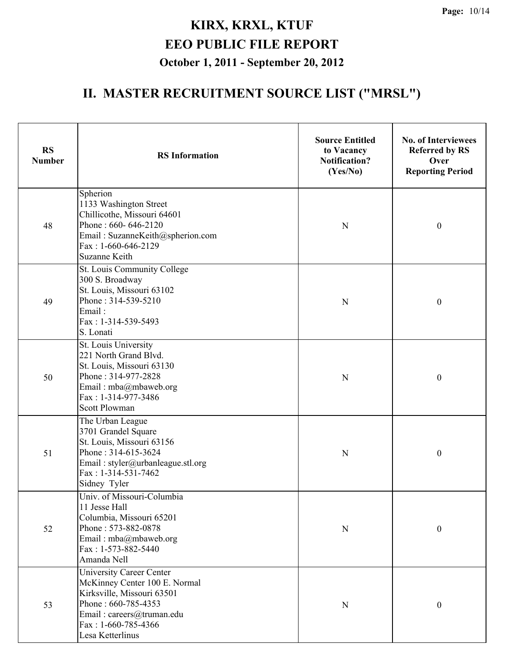| <b>RS</b><br><b>Number</b> | <b>RS</b> Information                                                                                                                                                                           | <b>Source Entitled</b><br>to Vacancy<br><b>Notification?</b><br>(Yes/No) | <b>No. of Interviewees</b><br><b>Referred by RS</b><br>Over<br><b>Reporting Period</b> |
|----------------------------|-------------------------------------------------------------------------------------------------------------------------------------------------------------------------------------------------|--------------------------------------------------------------------------|----------------------------------------------------------------------------------------|
| 48                         | Spherion<br>1133 Washington Street<br>Chillicothe, Missouri 64601<br>Phone: 660-646-2120<br>Email: SuzanneKeith@spherion.com<br>Fax: $1-660-646-2129$<br><b>Suzanne Keith</b>                   | $\mathbf N$                                                              | $\boldsymbol{0}$                                                                       |
| 49                         | St. Louis Community College<br>300 S. Broadway<br>St. Louis, Missouri 63102<br>Phone: 314-539-5210<br>Email:<br>Fax: 1-314-539-5493<br>S. Lonati                                                | ${\bf N}$                                                                | $\boldsymbol{0}$                                                                       |
| 50                         | St. Louis University<br>221 North Grand Blvd.<br>St. Louis, Missouri 63130<br>Phone: 314-977-2828<br>Email: mba@mbaweb.org<br>Fax: 1-314-977-3486<br><b>Scott Plowman</b>                       | N                                                                        | $\boldsymbol{0}$                                                                       |
| 51                         | The Urban League<br>3701 Grandel Square<br>St. Louis, Missouri 63156<br>Phone: 314-615-3624<br>Email: styler@urbanleague.stl.org<br>Fax: 1-314-531-7462<br>Sidney Tyler                         | $\mathbf N$                                                              | $\boldsymbol{0}$                                                                       |
| 52                         | Univ. of Missouri-Columbia<br>11 Jesse Hall<br>Columbia, Missouri 65201<br>Phone: 573-882-0878<br>Email: mba@mbaweb.org<br>Fax: 1-573-882-5440<br>Amanda Nell                                   | ${\bf N}$                                                                | $\boldsymbol{0}$                                                                       |
| 53                         | <b>University Career Center</b><br>McKinney Center 100 E. Normal<br>Kirksville, Missouri 63501<br>Phone: 660-785-4353<br>Email: careers@truman.edu<br>Fax: $1-660-785-4366$<br>Lesa Ketterlinus | ${\bf N}$                                                                | $\boldsymbol{0}$                                                                       |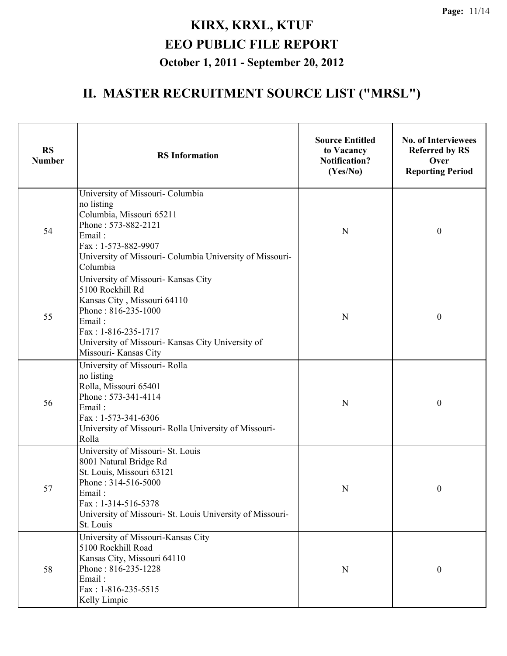| <b>RS</b><br><b>Number</b> | <b>RS</b> Information                                                                                                                                                                                                       | <b>Source Entitled</b><br>to Vacancy<br><b>Notification?</b><br>(Yes/No) | <b>No. of Interviewees</b><br><b>Referred by RS</b><br>Over<br><b>Reporting Period</b> |
|----------------------------|-----------------------------------------------------------------------------------------------------------------------------------------------------------------------------------------------------------------------------|--------------------------------------------------------------------------|----------------------------------------------------------------------------------------|
| 54                         | University of Missouri- Columbia<br>no listing<br>Columbia, Missouri 65211<br>Phone: 573-882-2121<br>Email:<br>Fax: 1-573-882-9907<br>University of Missouri- Columbia University of Missouri-<br>Columbia                  | N                                                                        | $\boldsymbol{0}$                                                                       |
| 55                         | University of Missouri- Kansas City<br>5100 Rockhill Rd<br>Kansas City, Missouri 64110<br>Phone: 816-235-1000<br>Email:<br>Fax: 1-816-235-1717<br>University of Missouri- Kansas City University of<br>Missouri-Kansas City | N                                                                        | $\boldsymbol{0}$                                                                       |
| 56                         | University of Missouri- Rolla<br>no listing<br>Rolla, Missouri 65401<br>Phone: 573-341-4114<br>Email:<br>Fax: 1-573-341-6306<br>University of Missouri- Rolla University of Missouri-<br>Rolla                              | N                                                                        | $\boldsymbol{0}$                                                                       |
| 57                         | University of Missouri- St. Louis<br>8001 Natural Bridge Rd<br>St. Louis, Missouri 63121<br>Phone: 314-516-5000<br>Email:<br>Fax: 1-314-516-5378<br>University of Missouri- St. Louis University of Missouri-<br>St. Louis  | N                                                                        | $\boldsymbol{0}$                                                                       |
| 58                         | University of Missouri-Kansas City<br>5100 Rockhill Road<br>Kansas City, Missouri 64110<br>Phone: 816-235-1228<br>Email:<br>Fax: 1-816-235-5515<br>Kelly Limpic                                                             | N                                                                        | $\boldsymbol{0}$                                                                       |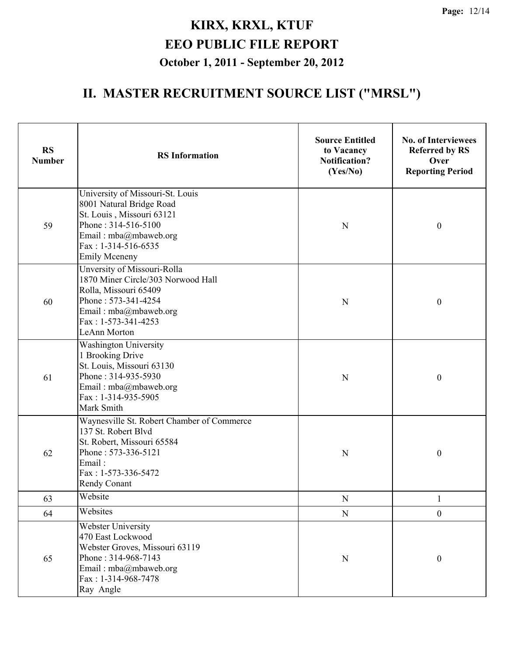| <b>RS</b><br><b>Number</b> | <b>RS</b> Information                                                                                                                                                                      | <b>Source Entitled</b><br>to Vacancy<br><b>Notification?</b><br>(Yes/No) | <b>No. of Interviewees</b><br><b>Referred by RS</b><br>Over<br><b>Reporting Period</b> |
|----------------------------|--------------------------------------------------------------------------------------------------------------------------------------------------------------------------------------------|--------------------------------------------------------------------------|----------------------------------------------------------------------------------------|
| 59                         | University of Missouri-St. Louis<br>8001 Natural Bridge Road<br>St. Louis, Missouri 63121<br>Phone: 314-516-5100<br>Email: mba@mbaweb.org<br>$Fax: 1-314-516-6535$<br><b>Emily Mceneny</b> | N                                                                        | $\boldsymbol{0}$                                                                       |
| 60                         | Unversity of Missouri-Rolla<br>1870 Miner Circle/303 Norwood Hall<br>Rolla, Missouri 65409<br>Phone: 573-341-4254<br>Email: mba@mbaweb.org<br>Fax: 1-573-341-4253<br><b>LeAnn Morton</b>   | N                                                                        | $\boldsymbol{0}$                                                                       |
| 61                         | <b>Washington University</b><br>1 Brooking Drive<br>St. Louis, Missouri 63130<br>Phone: 314-935-5930<br>Email: mba@mbaweb.org<br>Fax: 1-314-935-5905<br>Mark Smith                         | N                                                                        | $\boldsymbol{0}$                                                                       |
| 62                         | Waynesville St. Robert Chamber of Commerce<br>137 St. Robert Blvd<br>St. Robert, Missouri 65584<br>Phone: 573-336-5121<br>Email:<br>Fax: 1-573-336-5472<br>Rendy Conant                    | N                                                                        | $\boldsymbol{0}$                                                                       |
| 63                         | Website                                                                                                                                                                                    | ${\bf N}$                                                                | $\mathbf{1}$                                                                           |
| 64                         | Websites                                                                                                                                                                                   | ${\bf N}$                                                                | $\mathbf{0}$                                                                           |
| 65                         | Webster University<br>470 East Lockwood<br>Webster Groves, Missouri 63119<br>Phone: 314-968-7143<br>Email: $mba@m$ baweb.org<br>Fax: 1-314-968-7478<br>Ray Angle                           | N                                                                        | $\boldsymbol{0}$                                                                       |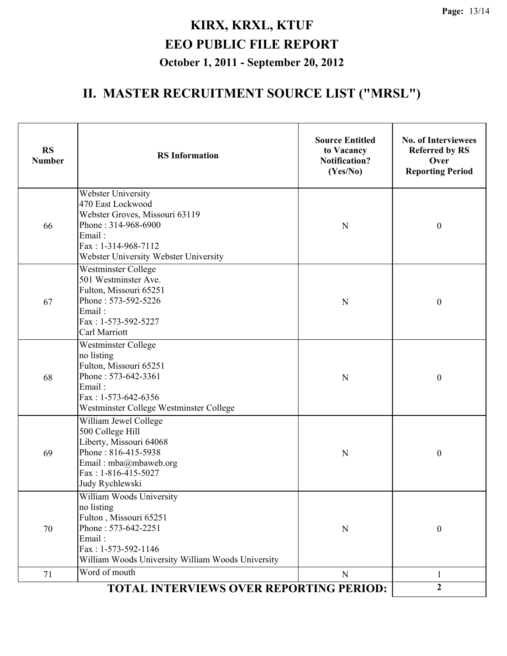| Webster University<br>470 East Lockwood<br>Webster Groves, Missouri 63119<br>Phone: 314-968-6900<br>66<br>N<br>$\boldsymbol{0}$<br>Email:<br>Fax: 1-314-968-7112<br>Webster University Webster University<br>Westminster College<br>501 Westminster Ave.<br>Fulton, Missouri 65251<br>Phone: 573-592-5226<br>67<br>N<br>$\boldsymbol{0}$<br>Email:<br>Fax: 1-573-592-5227<br>Carl Marriott<br><b>Westminster College</b><br>no listing<br>Fulton, Missouri 65251<br>Phone: 573-642-3361<br>68<br>$\mathbf N$<br>$\boldsymbol{0}$<br>Email:<br>Fax: 1-573-642-6356<br>Westminster College Westminster College<br>William Jewel College<br>500 College Hill<br>Liberty, Missouri 64068<br>Phone: 816-415-5938<br>69<br>$\boldsymbol{0}$<br>N<br>Email: mba@mbaweb.org<br>Fax: 1-816-415-5027<br>Judy Rychlewski<br>William Woods University<br>no listing<br>Fulton, Missouri 65251<br>Phone: 573-642-2251<br>70<br>$\boldsymbol{0}$<br>$\mathbf N$<br>Email:<br>$Fax: 1-573-592-1146$<br>William Woods University William Woods University<br>Word of mouth<br>71<br>$\mathbf N$<br>1<br>$\mathbf{2}$<br>TOTAL INTERVIEWS OVER REPORTING PERIOD: | <b>RS</b><br><b>Number</b> | <b>RS</b> Information | <b>Source Entitled</b><br>to Vacancy<br><b>Notification?</b><br>(Yes/No) | <b>No. of Interviewees</b><br><b>Referred by RS</b><br>Over<br><b>Reporting Period</b> |
|-------------------------------------------------------------------------------------------------------------------------------------------------------------------------------------------------------------------------------------------------------------------------------------------------------------------------------------------------------------------------------------------------------------------------------------------------------------------------------------------------------------------------------------------------------------------------------------------------------------------------------------------------------------------------------------------------------------------------------------------------------------------------------------------------------------------------------------------------------------------------------------------------------------------------------------------------------------------------------------------------------------------------------------------------------------------------------------------------------------------------------------------------|----------------------------|-----------------------|--------------------------------------------------------------------------|----------------------------------------------------------------------------------------|
|                                                                                                                                                                                                                                                                                                                                                                                                                                                                                                                                                                                                                                                                                                                                                                                                                                                                                                                                                                                                                                                                                                                                                 |                            |                       |                                                                          |                                                                                        |
|                                                                                                                                                                                                                                                                                                                                                                                                                                                                                                                                                                                                                                                                                                                                                                                                                                                                                                                                                                                                                                                                                                                                                 |                            |                       |                                                                          |                                                                                        |
|                                                                                                                                                                                                                                                                                                                                                                                                                                                                                                                                                                                                                                                                                                                                                                                                                                                                                                                                                                                                                                                                                                                                                 |                            |                       |                                                                          |                                                                                        |
|                                                                                                                                                                                                                                                                                                                                                                                                                                                                                                                                                                                                                                                                                                                                                                                                                                                                                                                                                                                                                                                                                                                                                 |                            |                       |                                                                          |                                                                                        |
|                                                                                                                                                                                                                                                                                                                                                                                                                                                                                                                                                                                                                                                                                                                                                                                                                                                                                                                                                                                                                                                                                                                                                 |                            |                       |                                                                          |                                                                                        |
|                                                                                                                                                                                                                                                                                                                                                                                                                                                                                                                                                                                                                                                                                                                                                                                                                                                                                                                                                                                                                                                                                                                                                 |                            |                       |                                                                          |                                                                                        |